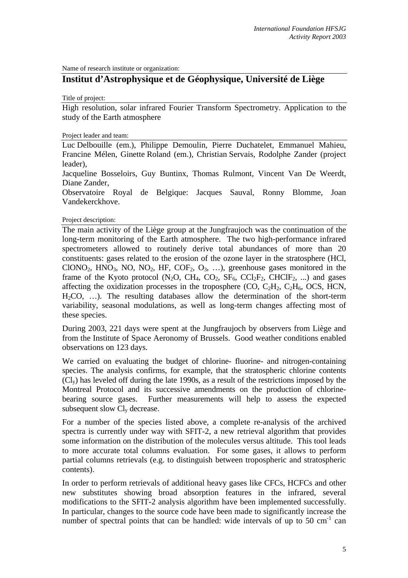Name of research institute or organization:

# **Institut d'Astrophysique et de Géophysique, Université de Liège**

Title of project:

High resolution, solar infrared Fourier Transform Spectrometry. Application to the study of the Earth atmosphere

Project leader and team:

Luc Delbouille (em.), Philippe Demoulin, Pierre Duchatelet, Emmanuel Mahieu, Francine Mélen, Ginette Roland (em.), Christian Servais, Rodolphe Zander (project leader),

Jacqueline Bosseloirs, Guy Buntinx, Thomas Rulmont, Vincent Van De Weerdt, Diane Zander,

Observatoire Royal de Belgique: Jacques Sauval, Ronny Blomme, Joan Vandekerckhove.

Project description:

The main activity of the Liège group at the Jungfraujoch was the continuation of the long-term monitoring of the Earth atmosphere. The two high-performance infrared spectrometers allowed to routinely derive total abundances of more than 20 constituents: gases related to the erosion of the ozone layer in the stratosphere (HCl, ClONO<sub>2</sub>, HNO<sub>3</sub>, NO, NO<sub>2</sub>, HF, COF<sub>2</sub>, O<sub>3</sub>, ...), greenhouse gases monitored in the frame of the Kyoto protocol (N<sub>2</sub>O, CH<sub>4</sub>, CO<sub>2</sub>, SF<sub>6</sub>, CCl<sub>2</sub>F<sub>2</sub>, CHClF<sub>2</sub>, ...) and gases affecting the oxidization processes in the troposphere  $(CO, C<sub>2</sub>H<sub>2</sub>, C<sub>2</sub>H<sub>6</sub>, OCS, HCN,$ H2CO, …). The resulting databases allow the determination of the short-term variability, seasonal modulations, as well as long-term changes affecting most of these species.

During 2003, 221 days were spent at the Jungfraujoch by observers from Liège and from the Institute of Space Aeronomy of Brussels. Good weather conditions enabled observations on 123 days.

We carried on evaluating the budget of chlorine- fluorine- and nitrogen-containing species. The analysis confirms, for example, that the stratospheric chlorine contents (Cly) has leveled off during the late 1990s, as a result of the restrictions imposed by the Montreal Protocol and its successive amendments on the production of chlorinebearing source gases. Further measurements will help to assess the expected subsequent slow  $Cl<sub>v</sub>$  decrease.

For a number of the species listed above, a complete re-analysis of the archived spectra is currently under way with SFIT-2, a new retrieval algorithm that provides some information on the distribution of the molecules versus altitude. This tool leads to more accurate total columns evaluation. For some gases, it allows to perform partial columns retrievals (e.g. to distinguish between tropospheric and stratospheric contents).

In order to perform retrievals of additional heavy gases like CFCs, HCFCs and other new substitutes showing broad absorption features in the infrared, several modifications to the SFIT-2 analysis algorithm have been implemented successfully. In particular, changes to the source code have been made to significantly increase the number of spectral points that can be handled: wide intervals of up to 50 cm<sup>-1</sup> can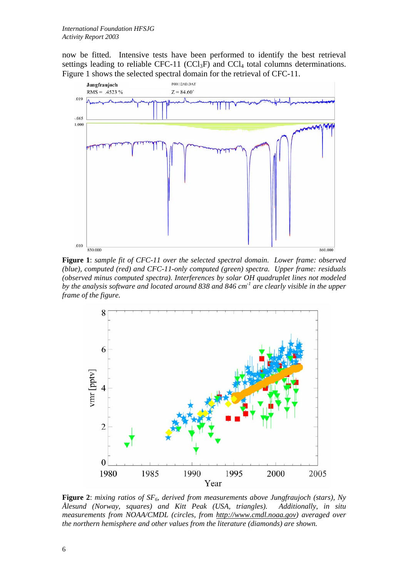now be fitted. Intensive tests have been performed to identify the best retrieval settings leading to reliable CFC-11 (CCl<sub>3</sub>F) and CCl<sub>4</sub> total columns determinations. Figure 1 shows the selected spectral domain for the retrieval of CFC-11.



**Figure 1**: *sample fit of CFC-11 over the selected spectral domain. Lower frame: observed (blue), computed (red) and CFC-11-only computed (green) spectra. Upper frame: residuals (observed minus computed spectra). Interferences by solar OH quadruplet lines not modeled by the analysis software and located around 838 and 846 cm-1 are clearly visible in the upper frame of the figure.* 



Figure 2: mixing ratios of SF<sub>6</sub>, derived from measurements above Jungfraujoch (stars), Ny *Ålesund (Norway, squares) and Kitt Peak (USA, triangles). Additionally, in situ measurements from NOAA/CMDL (circles, from [http://www.cmdl.noaa.gov\)](http://www.cmdl.noaa.gov/) averaged over the northern hemisphere and other values from the literature (diamonds) are shown.*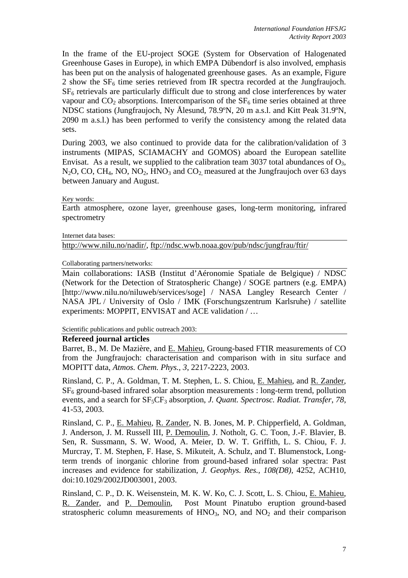In the frame of the EU-project SOGE (System for Observation of Halogenated Greenhouse Gases in Europe), in which EMPA Dübendorf is also involved, emphasis has been put on the analysis of halogenated greenhouse gases. As an example, Figure 2 show the  $SF<sub>6</sub>$  time series retrieved from IR spectra recorded at the Jungfraujoch. SF6 retrievals are particularly difficult due to strong and close interferences by water vapour and  $CO<sub>2</sub>$  absorptions. Intercomparison of the  $SF<sub>6</sub>$  time series obtained at three NDSC stations (Jungfraujoch, Ny Ålesund, 78.9ºN, 20 m a.s.l. and Kitt Peak 31.9ºN, 2090 m a.s.l.) has been performed to verify the consistency among the related data sets.

During 2003, we also continued to provide data for the calibration/validation of 3 instruments (MIPAS, SCIAMACHY and GOMOS) aboard the European satellite Envisat. As a result, we supplied to the calibration team 3037 total abundances of  $O_3$ ,  $N<sub>2</sub>O$ , CO, CH<sub>4</sub>, NO, NO<sub>2</sub>, HNO<sub>3</sub> and CO<sub>2</sub> measured at the Jungfraujoch over 63 days between January and August.

### Key words:

Earth atmosphere, ozone layer, greenhouse gases, long-term monitoring, infrared spectrometry

#### Internet data bases:

<http://www.nilu.no/nadir/>,<ftp://ndsc.wwb.noaa.gov/pub/ndsc/jungfrau/ftir/>

Collaborating partners/networks:

Main collaborations: IASB (Institut d'Aéronomie Spatiale de Belgique) / NDSC (Network for the Detection of Stratospheric Change) / SOGE partners (e.g. EMPA) [http://www.nilu.no/niluweb/services/soge] / NASA Langley Research Center / NASA JPL / University of Oslo / IMK (Forschungszentrum Karlsruhe) / satellite experiments: MOPPIT, ENVISAT and ACE validation / …

Scientific publications and public outreach 2003:

#### **Refereed journal articles**

Barret, B., M. De Mazière, and E. Mahieu, Groung-based FTIR measurements of CO from the Jungfraujoch: characterisation and comparison with in situ surface and MOPITT data, *Atmos. Chem. Phys.*, *3*, 2217-2223, 2003.

Rinsland, C. P., A. Goldman, T. M. Stephen, L. S. Chiou, E. Mahieu, and R. Zander,  $SF<sub>6</sub>$  ground-based infrared solar absorption measurements : long-term trend, pollution events, and a search for  $SF_5CF_3$  absorption, *J. Quant. Spectrosc. Radiat. Transfer*, 78, 41-53, 2003.

Rinsland, C. P., E. Mahieu, R. Zander, N. B. Jones, M. P. Chipperfield, A. Goldman, J. Anderson, J. M. Russell III, P. Demoulin, J. Notholt, G. C. Toon, J.-F. Blavier, B. Sen, R. Sussmann, S. W. Wood, A. Meier, D. W. T. Griffith, L. S. Chiou, F. J. Murcray, T. M. Stephen, F. Hase, S. Mikuteit, A. Schulz, and T. Blumenstock, Longterm trends of inorganic chlorine from ground-based infrared solar spectra: Past increases and evidence for stabilization, *J. Geophys. Res., 108(D8),* 4252, ACH10, doi:10.1029/2002JD003001, 2003.

Rinsland, C. P., D. K. Weisenstein, M. K. W. Ko, C. J. Scott, L. S. Chiou, E. Mahieu, R. Zander, and P. Demoulin, Post Mount Pinatubo eruption ground-based stratospheric column measurements of  $HNO<sub>3</sub>$ , NO, and NO<sub>2</sub> and their comparison